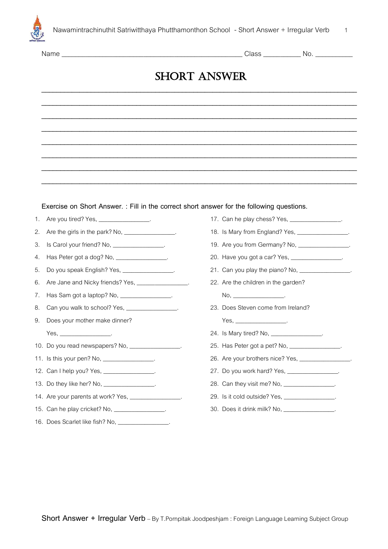

| Nam <sub>r</sub> |  |
|------------------|--|
|                  |  |

Class and No.

## **SHORT ANSWER \_\_\_\_\_\_\_\_\_\_\_\_\_\_\_\_\_\_\_\_\_\_\_\_\_\_\_\_\_\_\_\_\_\_\_\_\_\_\_\_\_\_\_\_\_\_\_\_\_\_\_\_\_\_\_\_\_\_\_\_\_\_\_\_\_\_\_\_\_\_\_\_\_\_\_\_\_\_\_\_\_\_\_**

**\_\_\_\_\_\_\_\_\_\_\_\_\_\_\_\_\_\_\_\_\_\_\_\_\_\_\_\_\_\_\_\_\_\_\_\_\_\_\_\_\_\_\_\_\_\_\_\_\_\_\_\_\_\_\_\_\_\_\_\_\_\_\_\_\_\_\_\_\_\_\_\_\_\_\_\_\_\_\_\_\_\_\_**

**\_\_\_\_\_\_\_\_\_\_\_\_\_\_\_\_\_\_\_\_\_\_\_\_\_\_\_\_\_\_\_\_\_\_\_\_\_\_\_\_\_\_\_\_\_\_\_\_\_\_\_\_\_\_\_\_\_\_\_\_\_\_\_\_\_\_\_\_\_\_\_\_\_\_\_\_\_\_\_\_\_\_\_**

**\_\_\_\_\_\_\_\_\_\_\_\_\_\_\_\_\_\_\_\_\_\_\_\_\_\_\_\_\_\_\_\_\_\_\_\_\_\_\_\_\_\_\_\_\_\_\_\_\_\_\_\_\_\_\_\_\_\_\_\_\_\_\_\_\_\_\_\_\_\_\_\_\_\_\_\_\_\_\_\_\_\_\_**

**\_\_\_\_\_\_\_\_\_\_\_\_\_\_\_\_\_\_\_\_\_\_\_\_\_\_\_\_\_\_\_\_\_\_\_\_\_\_\_\_\_\_\_\_\_\_\_\_\_\_\_\_\_\_\_\_\_\_\_\_\_\_\_\_\_\_\_\_\_\_\_\_\_\_\_\_\_\_\_\_\_\_\_**

**\_\_\_\_\_\_\_\_\_\_\_\_\_\_\_\_\_\_\_\_\_\_\_\_\_\_\_\_\_\_\_\_\_\_\_\_\_\_\_\_\_\_\_\_\_\_\_\_\_\_\_\_\_\_\_\_\_\_\_\_\_\_\_\_\_\_\_\_\_\_\_\_\_\_\_\_\_\_\_\_\_\_\_**

**\_\_\_\_\_\_\_\_\_\_\_\_\_\_\_\_\_\_\_\_\_\_\_\_\_\_\_\_\_\_\_\_\_\_\_\_\_\_\_\_\_\_\_\_\_\_\_\_\_\_\_\_\_\_\_\_\_\_\_\_\_\_\_\_\_\_\_\_\_\_\_\_\_\_\_\_\_\_\_\_\_\_\_**

**\_\_\_\_\_\_\_\_\_\_\_\_\_\_\_\_\_\_\_\_\_\_\_\_\_\_\_\_\_\_\_\_\_\_\_\_\_\_\_\_\_\_\_\_\_\_\_\_\_\_\_\_\_\_\_\_\_\_\_\_\_\_\_\_\_\_\_\_\_\_\_\_\_\_\_\_\_\_\_\_\_\_\_**

## **Exercise on Short Answer. : Fill in the correct short answer for the following questions.**

- 1. Are you tired? Yes, \_\_\_\_\_\_\_\_\_\_\_\_\_\_\_\_\_.
- 2. Are the girls in the park? No, \_\_\_\_\_\_\_\_\_\_\_\_\_\_\_.
- 3. Is Carol your friend? No, \_\_\_\_\_\_\_\_\_\_\_\_\_\_\_\_\_.
- 4. Has Peter got a dog? No, \_\_\_\_\_\_\_\_\_\_\_\_\_\_\_\_.
- 5. Do you speak English? Yes,
- 6. Are Jane and Nicky friends? Yes, \_\_\_\_\_\_\_\_\_\_\_\_\_\_.
- 7. Has Sam got a laptop? No, \_\_\_\_\_\_\_\_\_\_\_\_\_\_\_\_\_.
- 8. Can you walk to school? Yes, \_\_\_\_\_\_\_\_\_\_\_\_\_\_\_\_.
- 9. Does your mother make dinner?

 $Yes, \_\_$ 

- 10. Do you read newspapers? No, \_\_\_\_\_\_\_\_\_\_\_\_\_\_\_\_\_.
- 11. Is this your pen? No, \_\_\_\_\_\_\_\_\_\_\_\_\_\_\_\_.
- 12. Can I help you? Yes, \_\_\_\_\_\_\_\_\_\_\_\_\_\_\_\_.
- 13. Do they like her? No, \_\_\_\_\_\_\_\_\_\_\_\_\_\_\_.
- 14. Are your parents at work? Yes, \_\_\_\_\_
- 15. Can he play cricket? No, \_\_\_\_\_\_\_\_\_\_\_\_\_\_\_\_\_.
- 16. Does Scarlet like fish? No,
- 17. Can he play chess? Yes, \_\_\_\_
- 18. Is Mary from England? Yes, \_\_\_
- 19. Are you from Germany? No, \_\_\_\_\_\_\_\_\_\_\_\_\_\_\_\_.
- 20. Have you got a car? Yes, \_\_\_\_\_\_\_\_\_\_\_\_\_\_\_\_\_.
- 21. Can you play the piano? No,
- 22. Are the children in the garden?
- No, \_\_\_\_\_\_\_\_\_\_\_\_\_\_\_\_\_\_\_\_\_\_\_\_.
- 23. Does Steven come from Ireland?
	- Yes,  $\overline{\phantom{a}}$
- 24. Is Mary tired? No, \_\_\_\_\_\_\_\_\_\_\_\_\_\_\_\_.
- 25. Has Peter got a pet? No, \_\_\_\_\_\_\_\_\_\_\_\_\_\_\_\_.
- 26. Are your brothers nice? Yes,
- 27. Do you work hard? Yes, \_\_\_\_\_
- 28. Can they visit me? No, \_\_\_\_\_\_\_\_\_\_\_\_\_\_\_\_.
- 29. Is it cold outside? Yes, \_\_\_\_\_\_\_\_\_\_\_\_\_\_.
- 30. Does it drink milk? No, \_\_\_\_\_